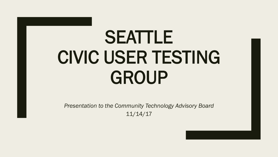# SEATTLE CIVIC USER TESTING GROUP

*Presentation to the Community Technology Advisory Board* 11/14/17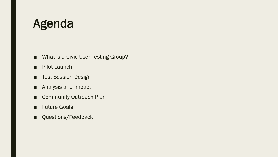### Agenda

- What is a Civic User Testing Group?
- Pilot Launch
- Test Session Design
- Analysis and Impact
- Community Outreach Plan
- Future Goals
- Questions/Feedback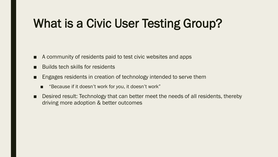## What is a Civic User Testing Group?

- A community of residents paid to test civic websites and apps
- **Builds tech skills for residents**
- Engages residents in creation of technology intended to serve them
	- "Because if it doesn't work for *you*, it doesn't work"
- Desired result: Technology that can better meet the needs of all residents, thereby driving more adoption & better outcomes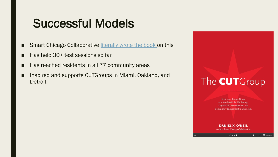### Successful Models

- Smart Chicago Collaborative [literally wrote the book](http://www.cutgroupbook.org/) on this
- Has held 30+ test sessions so far
- Has reached residents in all 77 community areas
- Inspired and supports CUTGroups in Miami, Oakland, and **Detroit**



**Civic User Testing Group** as a New Model for UX Testing, Digital Skills Development, and Community Engagement in Civic Tech

**DANIEL X. O'NEIL** and the Smart Chicago Collaborative

 $+ \bullet$   $\blacksquare$  SlideSh

 $10f70$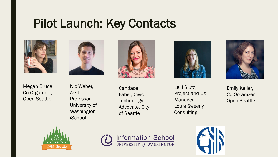### Pilot Launch: Key Contacts





Megan Bruce Co-Organizer, Open Seattle

Nic Weber, Asst. Professor, University of Washington **iSchool** 



**Candace** Faber, Civic **Technology** Advocate, City of Seattle



Leili Slutz, Project and UX Manager, Louis Sweeny **Consulting** 



Emily Keller, Co-Organizer, Open Seattle





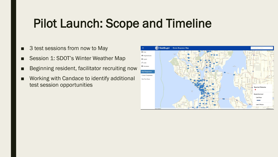### Pilot Launch: Scope and Timeline

- 3 test sessions from now to May
- Session 1: SDOT's Winter Weather Map
- Beginning resident, facilitator recruiting now
- Working with Candace to identify additional test session opportunities

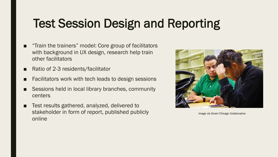### Test Session Design and Reporting

- "Train the trainers" model: Core group of facilitators with background in UX design, research help train other facilitators
- Ratio of 2-3 residents/facilitator
- Facilitators work with tech leads to design sessions
- Sessions held in local library branches, community centers
- Test results gathered, analyzed, delivered to stakeholder in form of report, published publicly online



*Image via Smart Chicago Collaborative*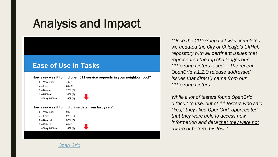### Analysis and Impact

#### **Ease of Use in Tasks**

How easy was it to find open 311 service requests in your neighborhood?

| 1 - Very Difficult | $32\% (7)$ |
|--------------------|------------|
| 2 – Difficult      | $32\%$ (7) |
| 3 - Neutral        | $23\%$ (5) |
| 4 – Easv           | $8\%$ (2)  |
| 5 – Very Easy      | 4% (1)     |

How easy was it to find crime data from last year?

*[Open Grid](http://www.smartchicagocollaborative.org/cutgroup-24-opengrid/)*

| 5 – Very Easy      | 0%         |
|--------------------|------------|
| $4 - Easy$         | $27\%$ (6) |
| 3 – Neutral        | $32\% (7)$ |
| $2 -$ Difficult    | $8\%$ (2)  |
| 1 - Very Difficult | $32\%$ (7) |
|                    |            |

*"Once the CUTGroup test was completed, we updated the City of Chicago's GitHub repository with all pertinent issues that represented the top challenges our CUTGroup testers faced … The recent OpenGrid v.1.2.0 release addressed issues that directly came from our CUTGroup testers.* 

*While a lot of testers found OpenGrid difficult to use, out of 11 testers who said "Yes," they liked OpenGrid, appreciated that they were able to access new information and data that they were not aware of before this test."*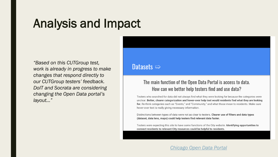### Analysis and Impact

*"Based on this CUTGroup test, work is already in progress to make changes that respond directly to our CUTGroup testers' feedback. DoIT and Socrata are considering changing the Open Data portal's layout…"* 

Datasets  $\Rightarrow$ 

#### The main function of the Open Data Portal is access to data. How can we better help testers find and use data?

Testers who searched for data did not always find what they were looking for because the categories were unclear. Better, clearer categorization and hover-over help text would residents find what they are looking for. Re-think categories such as "Events," and "Community," and what those mean to residents. Make sure hover-over text is really giving necessary information.

Distinctions between types of data were not as clear to testers. Clearer use of filters and data types (dataset, data lens, maps) could help testers find relevant data faster.

Testers were expecting this site to have some functions of the City website. Identifying opportunities to connect residents to relevant City resources could be helpful to residents.

#### *[Chicago Open Data Portal](http://www.smartchicagocollaborative.org/cutgroup-28-chicago-open-data-portal/)*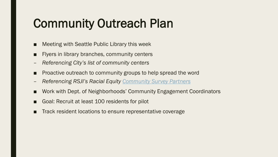### Community Outreach Plan

- Meeting with Seattle Public Library this week
- Flyers in library branches, community centers
- *Referencing City's list of community centers*
- Proactive outreach to community groups to help spread the word
- *Referencing RSJI's Racial Equity [Community Survey Partners](https://www.seattle.gov/Documents/Departments/RSJI/2013-Community-Survey-RSJI.pdf)*
- Work with Dept. of Neighborhoods' Community Engagement Coordinators
- Goal: Recruit at least 100 residents for pilot
- Track resident locations to ensure representative coverage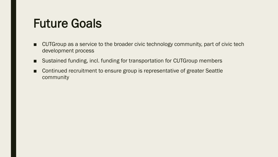### Future Goals

- CUTGroup as a service to the broader civic technology community, part of civic tech development process
- Sustained funding, incl. funding for transportation for CUTGroup members
- Continued recruitment to ensure group is representative of greater Seattle community